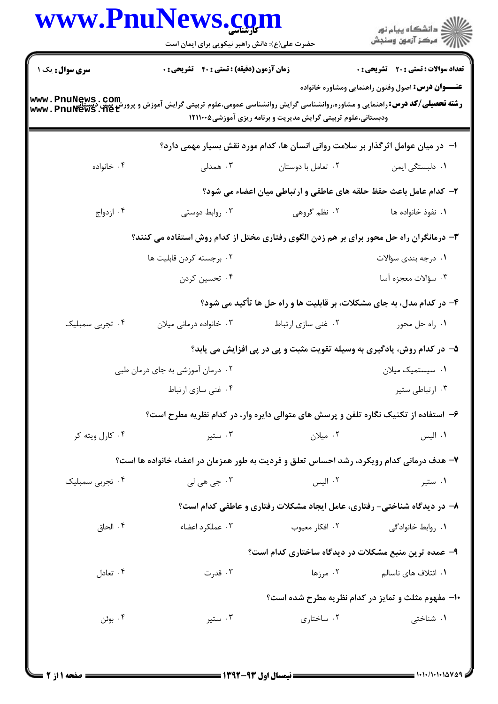|                                    | حضرت علی(ع): دانش راهبر نیکویی برای ایمان است                                                         |                                                                                    | ر<br>دانشڪاه پيام نور<br>ا∛ مرڪز آزمون وسنڊش              |  |
|------------------------------------|-------------------------------------------------------------------------------------------------------|------------------------------------------------------------------------------------|-----------------------------------------------------------|--|
| <b>سری سوال :</b> یک ۱             | <b>زمان آزمون (دقیقه) : تستی : 40 قشریحی : 0</b>                                                      |                                                                                    | <b>تعداد سوالات : تستي : 20 - تشريحي : 0</b>              |  |
| www.PnuNews.com<br>www.PnuNews.net | <b>رشته تحصیلی/کد درس: ر</b> اهنمایی و مشاوره،روانشناسی گرایش روانشناسی عمومی،علوم تربیتی گرایش آموزش | ودبستانی،علوم تربیتی گرایش مدیریت و برنامه ریزی آموزشی۵-۱۲۱۱۰۰                     | <b>عنـــوان درس:</b> اصول وفنون راهنمایی ومشاوره خانواده  |  |
|                                    |                                                                                                       | ا– ً در میان عوامل اثرگذار بر سلامت روانی انسان ها، کدام مورد نقش بسیار مهمی دارد؟ |                                                           |  |
| ۰۴ خانواده                         | ۰۳ همدلی                                                                                              | ۰۲ تعامل با دوستان                                                                 | ۰۱ دلبستگی ایمن                                           |  |
|                                    |                                                                                                       | ۲- کدام عامل باعث حفظ حلقه های عاطفی و ارتباطی میان اعضاء می شود؟                  |                                                           |  |
| ۰۴ ازدواج                          | ۰۳ روابط دوستی                                                                                        | ۰۲ نظم گروهی                                                                       | ٠١. نفوذ خانواده ها                                       |  |
|                                    | ۳- درمانگران راه حل محور برای بر هم زدن الگوی رفتاری مختل از کدام روش استفاده می کنند؟                |                                                                                    |                                                           |  |
|                                    | ۰۲ برجسته کردن قابلیت ها                                                                              |                                                                                    | ۰۱ درجه بندی سؤالات                                       |  |
|                                    | ۰۴ تحسین کردن                                                                                         |                                                                                    | ۰۳ سؤالات معجزه آسا                                       |  |
|                                    |                                                                                                       | ۴- در کدام مدل، به جای مشکلات، بر قابلیت ها و راه حل ها تأکید می شود؟              |                                                           |  |
| ۰۴ تجربی سمبلیک                    | ۰۳ خانواده درمانی میلان                                                                               | ۰۲ غنی سازی ارتباط                                                                 | ۰۱ راه حل محور                                            |  |
|                                    |                                                                                                       | ۵– در کدام روش، یادگیری به وسیله تقویت مثبت و پی در پی افزایش می یابد؟             |                                                           |  |
|                                    | ۰۲ درمان آموزشی به جای درمان طبی                                                                      |                                                                                    | ۰۱ سیستمیک میلان                                          |  |
|                                    | ۰۴ غنی سازی ارتباط                                                                                    |                                                                                    | ۰۳ ارتباطی ستیر                                           |  |
|                                    | ۶– استفاده از تکنیک نگاره تلفن و پرسش های متوالی دایره وار، در کدام نظریه مطرح است؟                   |                                                                                    |                                                           |  |
| ۰۴ کارل ویته کر                    | ۰۳ ستير                                                                                               | ۰۲ میلان                                                                           | ۰۱ الیس                                                   |  |
|                                    | ۷- هدف درمانی کدام رویکرد، رشد احساس تعلق و فردیت به طور همزمان در اعضاء خانواده ها است؟              |                                                                                    |                                                           |  |
| ۰۴ تجرب <sub>ی</sub> سمبلیک        | ۰۳ جي هي لي                                                                                           | ۰۲ الیس                                                                            | ۰۱ ستیر                                                   |  |
|                                    |                                                                                                       | ۸- در دیدگاه شناختی- رفتاری، عامل ایجاد مشکلات رفتاری و عاطفی کدام است؟            |                                                           |  |
| ۰۴ الحاق                           | ۰۳ عملکرد اعضاء                                                                                       | ۰۲ افکار معیوب                                                                     | ۰۱ , وابط خانوادگی                                        |  |
|                                    |                                                                                                       | ۹- عمده ترین منبع مشکلات در دیدگاه ساختاری کدام است؟                               |                                                           |  |
| ۰۴ تعادل                           | ۰۳ قدرت                                                                                               | ۰۲ مرزها                                                                           | ۰۱ ائتلاف های ناسالم                                      |  |
|                                    |                                                                                                       |                                                                                    | <b>۰۱- مفهوم مثلث و تمایز در کدام نظریه مطرح شده است؟</b> |  |
| ۰۴ بوئن                            | ۰۳ ستير                                                                                               | ۰۲ ساختاری                                                                         | ۰۱ شناختی                                                 |  |